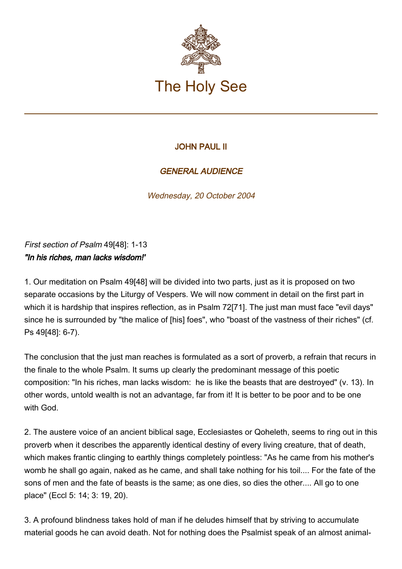

## JOHN PAUL II

## GENERAL AUDIENCE

Wednesday, 20 October 2004

First section of Psalm 49[48]: 1-13 "In his riches, man lacks wisdom!'

1. Our meditation on Psalm 49[48] will be divided into two parts, just as it is proposed on two separate occasions by the Liturgy of Vespers. We will now comment in detail on the first part in which it is hardship that inspires reflection, as in Psalm 72[71]. The just man must face "evil days" since he is surrounded by "the malice of [his] foes", who "boast of the vastness of their riches" (cf. Ps 49[48]: 6-7).

The conclusion that the just man reaches is formulated as a sort of proverb, a refrain that recurs in the finale to the whole Psalm. It sums up clearly the predominant message of this poetic composition: "In his riches, man lacks wisdom: he is like the beasts that are destroyed" (v. 13). In other words, untold wealth is not an advantage, far from it! It is better to be poor and to be one with God.

2. The austere voice of an ancient biblical sage, Ecclesiastes or Qoheleth, seems to ring out in this proverb when it describes the apparently identical destiny of every living creature, that of death, which makes frantic clinging to earthly things completely pointless: "As he came from his mother's womb he shall go again, naked as he came, and shall take nothing for his toil.... For the fate of the sons of men and the fate of beasts is the same; as one dies, so dies the other.... All go to one place" (Eccl 5: 14; 3: 19, 20).

3. A profound blindness takes hold of man if he deludes himself that by striving to accumulate material goods he can avoid death. Not for nothing does the Psalmist speak of an almost animal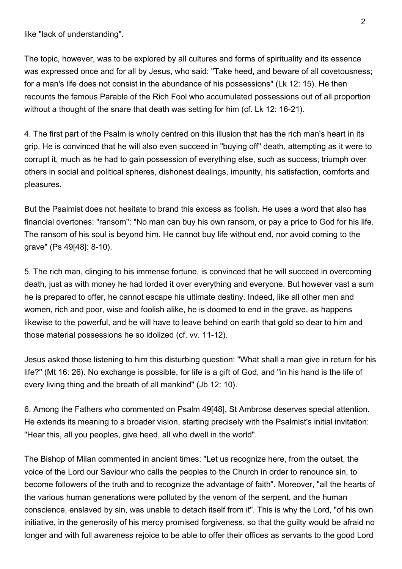like "lack of understanding".

The topic, however, was to be explored by all cultures and forms of spirituality and its essence was expressed once and for all by Jesus, who said: "Take heed, and beware of all covetousness; for a man's life does not consist in the abundance of his possessions" (Lk 12: 15). He then recounts the famous Parable of the Rich Fool who accumulated possessions out of all proportion without a thought of the snare that death was setting for him (cf. Lk 12: 16-21).

4. The first part of the Psalm is wholly centred on this illusion that has the rich man's heart in its grip. He is convinced that he will also even succeed in "buying off" death, attempting as it were to corrupt it, much as he had to gain possession of everything else, such as success, triumph over others in social and political spheres, dishonest dealings, impunity, his satisfaction, comforts and pleasures.

But the Psalmist does not hesitate to brand this excess as foolish. He uses a word that also has financial overtones: "ransom": "No man can buy his own ransom, or pay a price to God for his life. The ransom of his soul is beyond him. He cannot buy life without end, nor avoid coming to the grave" (Ps 49[48]: 8-10).

5. The rich man, clinging to his immense fortune, is convinced that he will succeed in overcoming death, just as with money he had lorded it over everything and everyone. But however vast a sum he is prepared to offer, he cannot escape his ultimate destiny. Indeed, like all other men and women, rich and poor, wise and foolish alike, he is doomed to end in the grave, as happens likewise to the powerful, and he will have to leave behind on earth that gold so dear to him and those material possessions he so idolized (cf. vv. 11-12).

Jesus asked those listening to him this disturbing question: "What shall a man give in return for his life?" (Mt 16: 26). No exchange is possible, for life is a gift of God, and "in his hand is the life of every living thing and the breath of all mankind" (Jb 12: 10).

6. Among the Fathers who commented on Psalm 49[48], St Ambrose deserves special attention. He extends its meaning to a broader vision, starting precisely with the Psalmist's initial invitation: "Hear this, all you peoples, give heed, all who dwell in the world".

The Bishop of Milan commented in ancient times: "Let us recognize here, from the outset, the voice of the Lord our Saviour who calls the peoples to the Church in order to renounce sin, to become followers of the truth and to recognize the advantage of faith". Moreover, "all the hearts of the various human generations were polluted by the venom of the serpent, and the human conscience, enslaved by sin, was unable to detach itself from it". This is why the Lord, "of his own initiative, in the generosity of his mercy promised forgiveness, so that the guilty would be afraid no longer and with full awareness rejoice to be able to offer their offices as servants to the good Lord